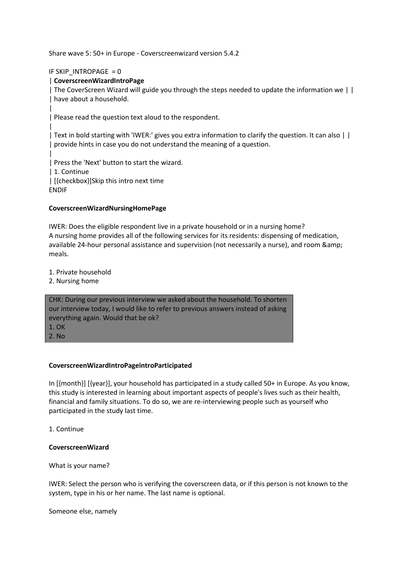Share wave 5: 50+ in Europe - Coverscreenwizard version 5.4.2

IF SKIP\_INTROPAGE = 0

# | **CoverscreenWizardIntroPage**

| The CoverScreen Wizard will guide you through the steps needed to update the information we | | | have about a household.

| Please read the question text aloud to the respondent.

| Text in bold starting with 'IWER:' gives you extra information to clarify the question. It can also | | | provide hints in case you do not understand the meaning of a question.

| | Press the 'Next' button to start the wizard.

| 1. Continue

| [{checkbox}]Skip this intro next time

ENDIF

|

|

#### **CoverscreenWizardNursingHomePage**

IWER: Does the eligible respondent live in a private household or in a nursing home? A nursing home provides all of the following services for its residents: dispensing of medication, available 24-hour personal assistance and supervision (not necessarily a nurse), and room & meals.

1. Private household

2. Nursing home

CHK: During our previous interview we asked about the household. To shorten our interview today, I would like to refer to previous answers instead of asking everything again. Would that be ok? 1. OK 2. No

#### **CoverscreenWizardIntroPageintroParticipated**

In [{month}] [{year}], your household has participated in a study called 50+ in Europe. As you know, this study is interested in learning about important aspects of people's lives such as their health, financial and family situations. To do so, we are re-interviewing people such as yourself who participated in the study last time.

1. Continue

#### **CoverscreenWizard**

What is your name?

IWER: Select the person who is verifying the coverscreen data, or if this person is not known to the system, type in his or her name. The last name is optional.

Someone else, namely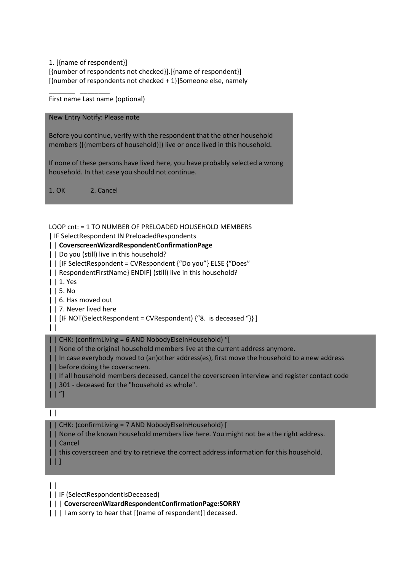1. [{name of respondent}] [{number of respondents not checked}].[{name of respondent}] [{number of respondents not checked + 1}]Someone else, namely

First name Last name (optional)

\_\_\_\_\_\_\_ \_\_\_\_\_\_\_\_

New Entry Notify: Please note

Before you continue, verify with the respondent that the other household members ([{members of household}]) live or once lived in this household.

If none of these persons have lived here, you have probably selected a wrong household. In that case you should not continue.

1. OK 2. Cancel

LOOP cnt: = 1 TO NUMBER OF PRELOADED HOUSEHOLD MEMBERS

| IF SelectRespondent IN PreloadedRespondents

## | | **CoverscreenWizardRespondentConfirmationPage**

| | Do you (still) live in this household?

| | [IF SelectRespondent = CVRespondent {"Do you"} ELSE {"Does"

| | RespondentFirstName} ENDIF] (still) live in this household?

| | 1. Yes

| | 5. No

| | 6. Has moved out

| | 7. Never lived here

|  $\|$  | [IF NOT(SelectRespondent = CVRespondent) {"8. is deceased "}} ]

 $\perp$ 

| | CHK: (confirmLiving = 6 AND NobodyElseInHousehold) "[

| | None of the original household members live at the current address anymore.

| | In case everybody moved to (an)other address(es), first move the household to a new address | | before doing the coverscreen.

| | If all household members deceased, cancel the coverscreen interview and register contact code

| | 301 - deceased for the "household as whole".

|                                                                                                                       | ٠<br>٠ |  |
|-----------------------------------------------------------------------------------------------------------------------|--------|--|
| <b>Contract Contract Contract Contract Contract Contract Contract Contract Contract Contract Contract Contract Co</b> |        |  |

 $| \ \ |$ 

| | CHK: (confirmLiving = 7 AND NobodyElseInHousehold) [

| | None of the known household members live here. You might not be a the right address. | | Cancel

| | this coverscreen and try to retrieve the correct address information for this household.

| | ]

 $\perp$ | | IF (SelectRespondentIsDeceased)

| | | **CoverscreenWizardRespondentConfirmationPage:SORRY**

| | | I am sorry to hear that [{name of respondent}] deceased.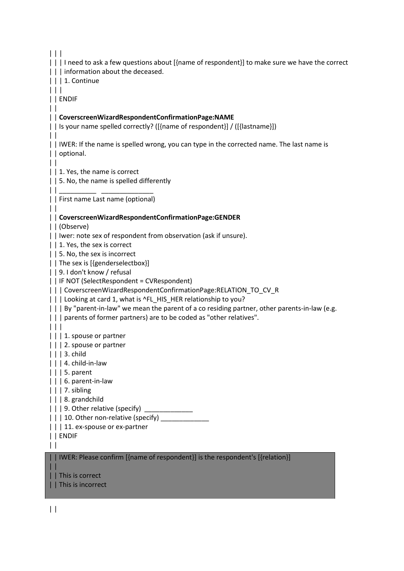$| | |$ | | | I need to ask a few questions about [{name of respondent}] to make sure we have the correct | | | information about the deceased. | | | 1. Continue  $| | | |$ | | ENDIF  $\perp$ | | **CoverscreenWizardRespondentConfirmationPage:NAME** | | Is your name spelled correctly? ([{name of respondent}] / ([{lastname}])  $\perp$ | | IWER: If the name is spelled wrong, you can type in the corrected name. The last name is | | optional.  $\perp$ | | 1. Yes, the name is correct | | 5. No, the name is spelled differently | | \_\_\_\_\_\_\_\_\_\_ \_\_\_\_\_\_\_\_\_\_\_\_\_\_ | | First name Last name (optional)  $\|$ | | **CoverscreenWizardRespondentConfirmationPage:GENDER** | | (Observe) | | Iwer: note sex of respondent from observation (ask if unsure). | | 1. Yes, the sex is correct | | 5. No, the sex is incorrect | | The sex is [{genderselectbox}] | | 9. I don't know / refusal | | IF NOT (SelectRespondent = CVRespondent) | | | CoverscreenWizardRespondentConfirmationPage:RELATION\_TO\_CV\_R | | | Looking at card 1, what is ^FL\_HIS\_HER relationship to you? | | | By "parent-in-law" we mean the parent of a co residing partner, other parents-in-law (e.g. | | | parents of former partners) are to be coded as "other relatives". | | | | | | 1. spouse or partner | | | 2. spouse or partner | | | 3. child | | | 4. child-in-law | | | 5. parent | | | 6. parent-in-law | | | 7. sibling | | | 8. grandchild  $|| \cdot ||$  9. Other relative (specify)  $\vert \vert$  | 10. Other non-relative (specify) | | | 11. ex-spouse or ex-partner | | ENDIF  $\perp$ | | IWER: Please confirm [{name of respondent}] is the respondent's [{relation}] | | | | This is correct

| | This is incorrect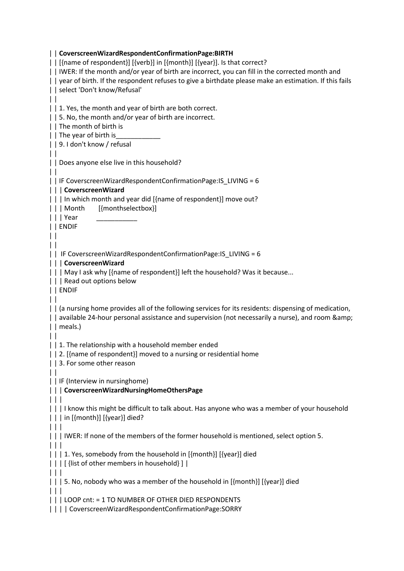| | **CoverscreenWizardRespondentConfirmationPage:BIRTH** | | [{name of respondent}] [{verb}] in [{month}] [{year}]. Is that correct? | | IWER: If the month and/or year of birth are incorrect, you can fill in the corrected month and | | year of birth. If the respondent refuses to give a birthdate please make an estimation. If this fails | | select 'Don't know/Refusal'  $\vert \vert$ | | 1. Yes, the month and year of birth are both correct. | | 5. No, the month and/or year of birth are incorrect. | | The month of birth is | | The year of birth is | | 9. I don't know / refusal | | | | Does anyone else live in this household?  $\mathbf{||}$ | | IF CoverscreenWizardRespondentConfirmationPage:IS\_LIVING = 6 | | | **CoverscreenWizard** | | | In which month and year did [{name of respondent}] move out? | | | Month [{monthselectbox}] | | | Year \_\_\_\_\_\_\_\_\_\_\_ | | ENDIF  $\perp$  $| |$ | | IF CoverscreenWizardRespondentConfirmationPage:IS\_LIVING = 6 | | | **CoverscreenWizard** | | | May I ask why [{name of respondent}] left the household? Was it because... | | | Read out options below | | ENDIF  $\vert \vert$ | | (a nursing home provides all of the following services for its residents: dispensing of medication, | | available 24-hour personal assistance and supervision (not necessarily a nurse), and room & amp; | | meals.)  $| |$ | | 1. The relationship with a household member ended | | 2. [{name of respondent}] moved to a nursing or residential home | | 3. For some other reason  $\perp$ | | IF (Interview in nursinghome) | | | **CoverscreenWizardNursingHomeOthersPage** | | | | | | I know this might be difficult to talk about. Has anyone who was a member of your household | | | in [{month}] [{year}] died?  $| | | |$ | | | IWER: If none of the members of the former household is mentioned, select option 5. | | | | | | 1. Yes, somebody from the household in [{month}] [{year}] died | | | [ {list of other members in household} ] | | | | | | | 5. No, nobody who was a member of the household in [{month}] [{year}] died | | | | | | LOOP cnt: = 1 TO NUMBER OF OTHER DIED RESPONDENTS | | | | CoverscreenWizardRespondentConfirmationPage:SORRY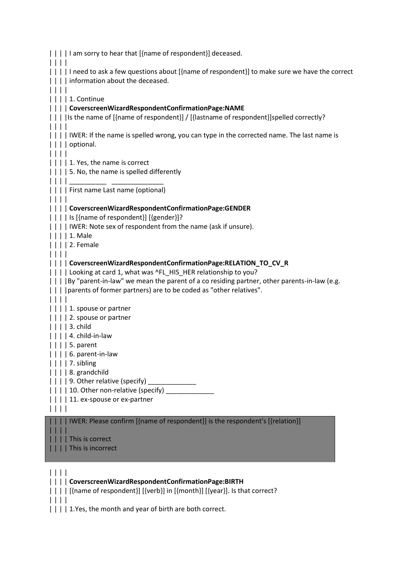|  | I am sorry to hear that [{name of respondent}] deceased.                                                                                                                                                                                                                                              |
|--|-------------------------------------------------------------------------------------------------------------------------------------------------------------------------------------------------------------------------------------------------------------------------------------------------------|
|  | I need to ask a few questions about [{name of respondent}] to make sure we have the correct<br>information about the deceased.                                                                                                                                                                        |
|  | 1. Continue<br>CoverscreenWizardRespondentConfirmationPage:NAME<br>[Is the name of [{name of respondent}] / [{lastname of respondent}]spelled correctly?                                                                                                                                              |
|  | IWER: If the name is spelled wrong, you can type in the corrected name. The last name is<br>optional.                                                                                                                                                                                                 |
|  | 1. Yes, the name is correct<br>  5. No, the name is spelled differently                                                                                                                                                                                                                               |
|  | First name Last name (optional)                                                                                                                                                                                                                                                                       |
|  | CoverscreenWizardRespondentConfirmationPage:GENDER<br>Is [{name of respondent}] [{gender}]?<br>IWER: Note sex of respondent from the name (ask if unsure).<br>1. Male<br>2. Female                                                                                                                    |
|  | CoverscreenWizardRespondentConfirmationPage:RELATION_TO_CV_R<br>Looking at card 1, what was ^FL_HIS_HER relationship to you?<br>    By "parent-in-law" we mean the parent of a co residing partner, other parents-in-law (e.g.<br>  parents of former partners) are to be coded as "other relatives". |
|  | 1. spouse or partner<br>2. spouse or partner<br>3. child                                                                                                                                                                                                                                              |
|  | 4. child-in-law<br>$\vert \vert \vert$   5. parent                                                                                                                                                                                                                                                    |
|  | 6. parent-in-law<br>7. sibling<br>8. grandchild                                                                                                                                                                                                                                                       |
|  | 9. Other relative (specify)                                                                                                                                                                                                                                                                           |
|  | 10. Other non-relative (specify) __<br>11. ex-spouse or ex-partner                                                                                                                                                                                                                                    |
|  | IWER: Please confirm [{name of respondent}] is the respondent's [{relation}]                                                                                                                                                                                                                          |
|  | This is correct<br>This is incorrect                                                                                                                                                                                                                                                                  |
|  | CoverscreenWizardRespondentConfirmationPage:BIRTH                                                                                                                                                                                                                                                     |
|  | [{name of respondent}] [{verb}] in [{month}] [{year}]. Is that correct?                                                                                                                                                                                                                               |

| | | |

| | | | 1.Yes, the month and year of birth are both correct.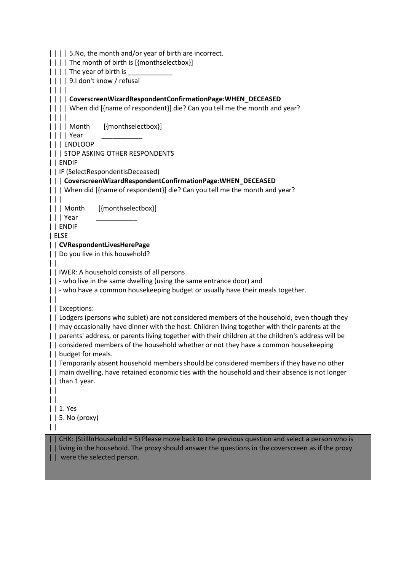| | | | 5.No, the month and/or year of birth are incorrect. | | | | The month of birth is [{monthselectbox}]  $|| \cdot || \cdot ||$  The year of birth is | | | | 9.I don't know / refusal | | | | | | | | **CoverscreenWizardRespondentConfirmationPage:WHEN\_DECEASED** | | | | When did [{name of respondent}] die? Can you tell me the month and year? | | | | | | | | Month [{monthselectbox}] | | | | Year \_\_\_\_\_\_\_\_\_\_\_ | | | ENDLOOP | | | STOP ASKING OTHER RESPONDENTS | | ENDIF | | IF (SelectRespondentIsDeceased) | | | **CoverscreenWizardRespondentConfirmationPage:WHEN\_DECEASED** | | | When did [{name of respondent}] die? Can you tell me the month and year? | | | | | | Month [{monthselectbox}] | | | Year \_\_\_\_\_\_\_\_\_\_\_ | | ENDIF | ELSE | | **CVRespondentLivesHerePage** | | Do you live in this household?  $| |$ | | IWER: A household consists of all persons | | - who live in the same dwelling (using the same entrance door) and | | - who have a common housekeeping budget or usually have their meals together.  $\vert \vert$ | | Exceptions: | | Lodgers (persons who sublet) are not considered members of the household, even though they | | may occasionally have dinner with the host. Children living together with their parents at the | | parents' address, or parents living together with their children at the children's address will be | | considered members of the household whether or not they have a common housekeeping | | budget for meals. | | Temporarily absent household members should be considered members if they have no other | | main dwelling, have retained economic ties with the household and their absence is not longer | | than 1 year.  $\perp$  $| |$ | | 1. Yes | | 5. No (proxy)  $| |$ | | CHK: (StillInHousehold = 5) Please move back to the previous question and select a person who is | | living in the household. The proxy should answer the questions in the coverscreen as if the proxy | | were the selected person.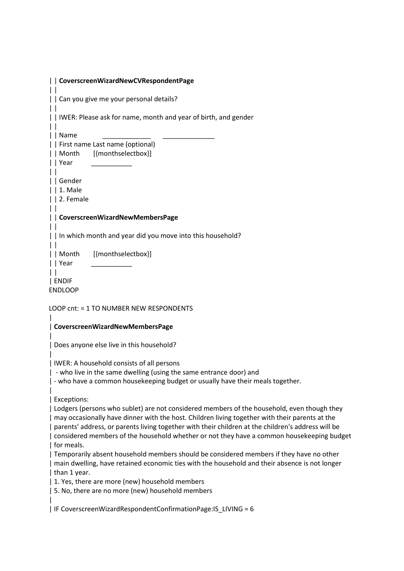| CoverscreenWizardNewCVRespondentPage                                                                                                                                                                                                                                                                                                                                                                                                 |
|--------------------------------------------------------------------------------------------------------------------------------------------------------------------------------------------------------------------------------------------------------------------------------------------------------------------------------------------------------------------------------------------------------------------------------------|
| Can you give me your personal details?<br>$\perp$                                                                                                                                                                                                                                                                                                                                                                                    |
| IWER: Please ask for name, month and year of birth, and gender                                                                                                                                                                                                                                                                                                                                                                       |
| Name<br>    First name Last name (optional)<br>[{monthselectbox}]<br>    Month<br>Year                                                                                                                                                                                                                                                                                                                                               |
| Gender<br>$ $   1. Male<br>2. Female                                                                                                                                                                                                                                                                                                                                                                                                 |
| CoverscreenWizardNewMembersPage                                                                                                                                                                                                                                                                                                                                                                                                      |
| In which month and year did you move into this household?                                                                                                                                                                                                                                                                                                                                                                            |
| [{monthselectbox}]<br>    Month<br>    Year                                                                                                                                                                                                                                                                                                                                                                                          |
| ENDIF<br><b>ENDLOOP</b>                                                                                                                                                                                                                                                                                                                                                                                                              |
| LOOP cnt: = 1 TO NUMBER NEW RESPONDENTS                                                                                                                                                                                                                                                                                                                                                                                              |
| CoverscreenWizardNewMembersPage                                                                                                                                                                                                                                                                                                                                                                                                      |
| Does anyone else live in this household?                                                                                                                                                                                                                                                                                                                                                                                             |
| IWER: A household consists of all persons<br>  - who live in the same dwelling (using the same entrance door) and<br>  - who have a common housekeeping budget or usually have their meals together.                                                                                                                                                                                                                                 |
| Exceptions:<br>  Lodgers (persons who sublet) are not considered members of the household, even though they<br>  may occasionally have dinner with the host. Children living together with their parents at the<br>  parents' address, or parents living together with their children at the children's address will be<br>considered members of the household whether or not they have a common housekeeping budget<br>  for meals. |
| Temporarily absent household members should be considered members if they have no other<br>  main dwelling, have retained economic ties with the household and their absence is not longer<br>than 1 year.                                                                                                                                                                                                                           |
| 1. Yes, there are more (new) household members<br>  5. No, there are no more (new) household members                                                                                                                                                                                                                                                                                                                                 |
| IF CoverscreenWizardRespondentConfirmationPage: IS_LIVING = 6                                                                                                                                                                                                                                                                                                                                                                        |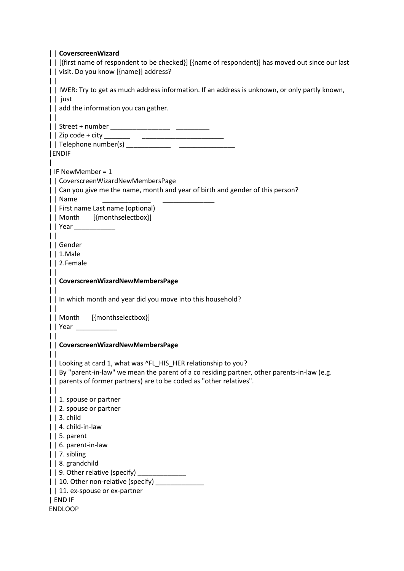| CoverscreenWizard                                                                              |
|------------------------------------------------------------------------------------------------|
| [{first name of respondent to be checked}] [{name of respondent}] has moved out since our last |
| visit. Do you know [{name}] address?                                                           |
| $\perp$                                                                                        |
| IWER: Try to get as much address information. If an address is unknown, or only partly known,  |
|                                                                                                |
| just                                                                                           |
| add the information you can gather.                                                            |
| $\perp$                                                                                        |
|                                                                                                |
|                                                                                                |
|                                                                                                |
| <b>ENDIF</b>                                                                                   |
|                                                                                                |
|                                                                                                |
| IF NewMember = $1$                                                                             |
| CoverscreenWizardNewMembersPage                                                                |
| Can you give me the name, month and year of birth and gender of this person?                   |
| Name                                                                                           |
| First name Last name (optional)                                                                |
| Month [{monthselectbox}]                                                                       |
|                                                                                                |
|                                                                                                |
| $\mathbf{L}$                                                                                   |
| Gender                                                                                         |
| $ $   1.Male                                                                                   |
| 2.Female                                                                                       |
| $\vert \vert$                                                                                  |
| CoverscreenWizardNewMembersPage                                                                |
|                                                                                                |
| In which month and year did you move into this household?                                      |
|                                                                                                |
| $\perp$                                                                                        |
| Month [{monthselectbox}]                                                                       |
| Year _____________                                                                             |
|                                                                                                |
| CoverscreenWizardNewMembersPage                                                                |
|                                                                                                |
| Looking at card 1, what was ^FL_HIS_HER relationship to you?                                   |
| By "parent-in-law" we mean the parent of a co residing partner, other parents-in-law (e.g.     |
|                                                                                                |
| parents of former partners) are to be coded as "other relatives".                              |
| $\vert \ \vert$                                                                                |
| 1. spouse or partner                                                                           |
| 2. spouse or partner                                                                           |
| $ $   3. child                                                                                 |
| $  $ 4. child-in-law                                                                           |
| $\vert$   5. parent                                                                            |
| 6. parent-in-law                                                                               |
| 7. sibling                                                                                     |
|                                                                                                |
| $ $   8. grandchild                                                                            |
| 9. Other relative (specify)                                                                    |
| 10. Other non-relative (specify) _________                                                     |
| 11. ex-spouse or ex-partner                                                                    |
| END IF                                                                                         |
| <b>ENDLOOP</b>                                                                                 |
|                                                                                                |